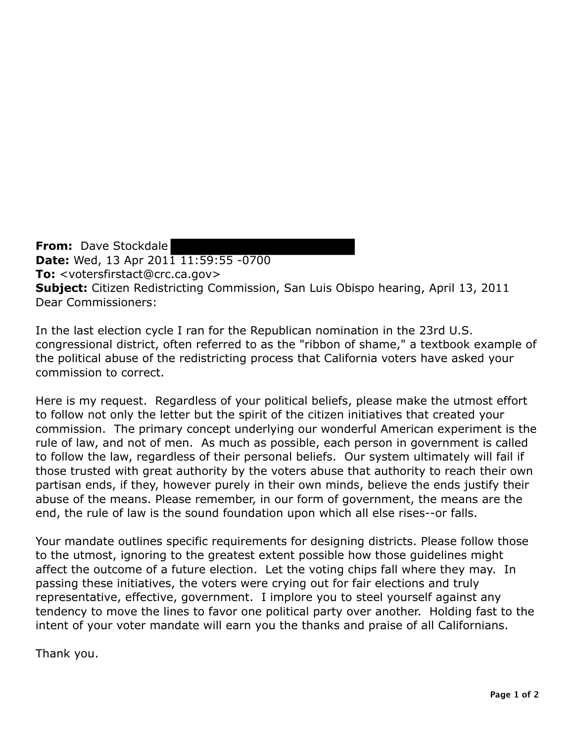**From:** Dave Stockdale **Date:** Wed, 13 Apr 2011 11:59:55 -0700 **To:** <votersfirstact@crc.ca.gov> **Subject:** Citizen Redistricting Commission, San Luis Obispo hearing, April 13, 2011 Dear Commissioners:

In the last election cycle I ran for the Republican nomination in the 23rd U.S. congressional district, often referred to as the "ribbon of shame," a textbook example of the political abuse of the redistricting process that California voters have asked your commission to correct.

Here is my request. Regardless of your political beliefs, please make the utmost effort to follow not only the letter but the spirit of the citizen initiatives that created your commission. The primary concept underlying our wonderful American experiment is the rule of law, and not of men. As much as possible, each person in government is called to follow the law, regardless of their personal beliefs. Our system ultimately will fail if those trusted with great authority by the voters abuse that authority to reach their own partisan ends, if they, however purely in their own minds, believe the ends justify their abuse of the means. Please remember, in our form of government, the means are the end, the rule of law is the sound foundation upon which all else rises--or falls.

Your mandate outlines specific requirements for designing districts. Please follow those to the utmost, ignoring to the greatest extent possible how those guidelines might affect the outcome of a future election. Let the voting chips fall where they may. In passing these initiatives, the voters were crying out for fair elections and truly representative, effective, government. I implore you to steel yourself against any tendency to move the lines to favor one political party over another. Holding fast to the intent of your voter mandate will earn you the thanks and praise of all Californians.

Thank you.